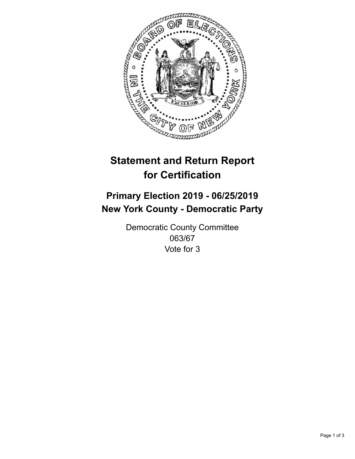

## **Statement and Return Report for Certification**

## **Primary Election 2019 - 06/25/2019 New York County - Democratic Party**

Democratic County Committee 063/67 Vote for 3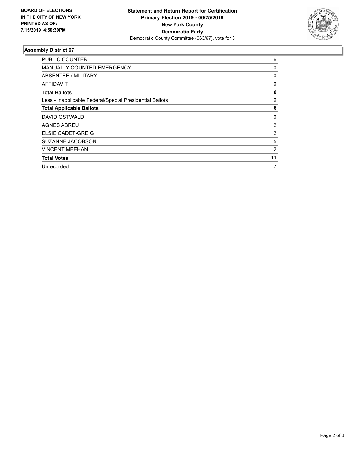

## **Assembly District 67**

| <b>PUBLIC COUNTER</b>                                    | 6        |
|----------------------------------------------------------|----------|
| MANUALLY COUNTED EMERGENCY                               | 0        |
| ABSENTEE / MILITARY                                      | 0        |
| AFFIDAVIT                                                | 0        |
| <b>Total Ballots</b>                                     | 6        |
| Less - Inapplicable Federal/Special Presidential Ballots | $\Omega$ |
| <b>Total Applicable Ballots</b>                          | 6        |
| DAVID OSTWALD                                            | 0        |
| <b>AGNES ABREU</b>                                       | 2        |
| ELSIE CADET-GREIG                                        | 2        |
| SUZANNE JACOBSON                                         | 5        |
| <b>VINCENT MEEHAN</b>                                    | 2        |
| <b>Total Votes</b>                                       | 11       |
| Unrecorded                                               | 7        |